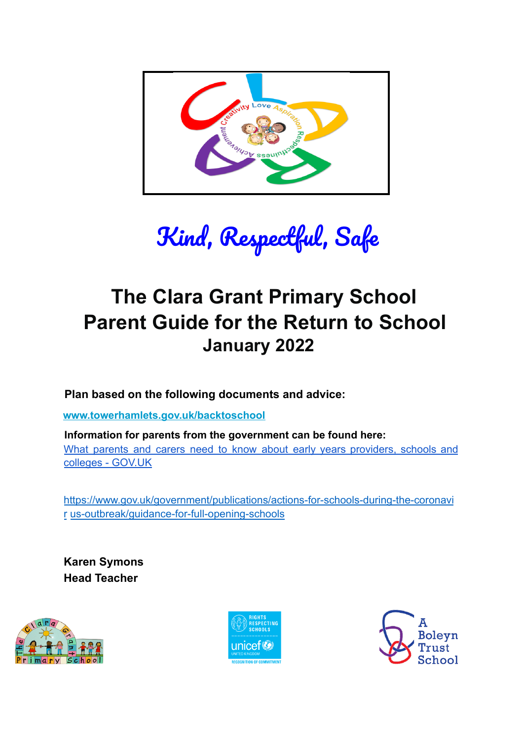

Kind, Respectful, Safe

# **The Clara Grant Primary School Parent Guide for the Return to School January 2022**

**Plan based on the following documents and advice:**

**www.towerhamlets.gov.uk/backtoschool**

**Information for parents from the government can be found here:** What parents and carers need to know about early years providers, schools and colleges - GOV.UK

https://www.gov.uk/government/publications/actions-for-schools-during-the-coronavi r us-outbreak/guidance-for-full-opening-schools

**Karen Symons Head Teacher**





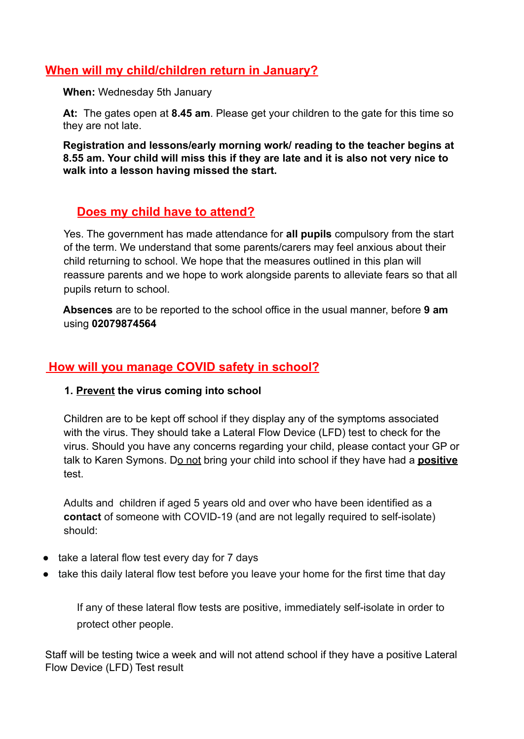## **When will my child/children return in January?**

**When:** Wednesday 5th January

**At:** The gates open at **8.45 am**. Please get your children to the gate for this time so they are not late.

**Registration and lessons/early morning work/ reading to the teacher begins at 8.55 am. Your child will miss this if they are late and it is also not very nice to walk into a lesson having missed the start.**

## **Does my child have to attend?**

Yes. The government has made attendance for **all pupils** compulsory from the start of the term. We understand that some parents/carers may feel anxious about their child returning to school. We hope that the measures outlined in this plan will reassure parents and we hope to work alongside parents to alleviate fears so that all pupils return to school.

**Absences** are to be reported to the school office in the usual manner, before **9 am** using **02079874564**

## **How will you manage COVID safety in school?**

#### **1. Prevent the virus coming into school**

Children are to be kept off school if they display any of the symptoms associated with the virus. They should take a Lateral Flow Device (LFD) test to check for the virus. Should you have any concerns regarding your child, please contact your GP or talk to Karen Symons. Do not bring your child into school if they have had a **positive** test.

Adults and children if aged 5 years old and over who have been identified as a **contact** of someone with COVID-19 (and are not legally required to self-isolate) should:

- take a lateral flow test every day for 7 days
- take this daily lateral flow test before you leave your home for the first time that day

If any of these lateral flow tests are positive, immediately self-isolate in order to protect other people.

Staff will be testing twice a week and will not attend school if they have a positive Lateral Flow Device (LFD) Test result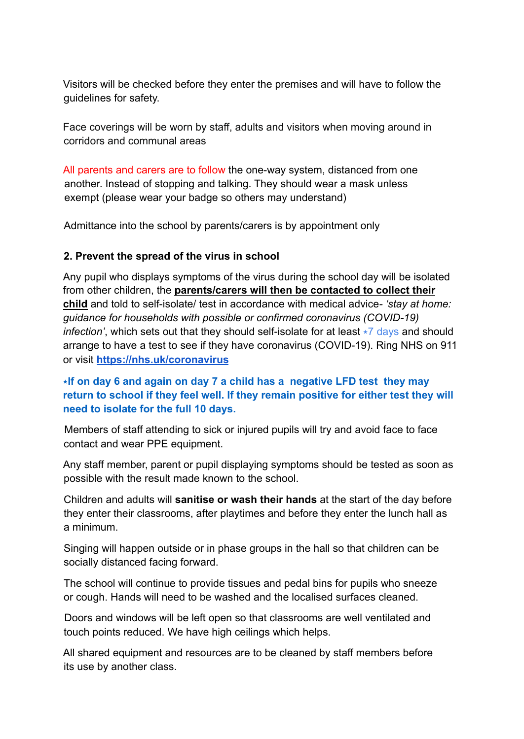Visitors will be checked before they enter the premises and will have to follow the guidelines for safety.

Face coverings will be worn by staff, adults and visitors when moving around in corridors and communal areas

All parents and carers are to follow the one-way system, distanced from one another. Instead of stopping and talking. They should wear a mask unless exempt (please wear your badge so others may understand)

Admittance into the school by parents/carers is by appointment only

## **2. Prevent the spread of the virus in school**

Any pupil who displays symptoms of the virus during the school day will be isolated from other children, the **parents/carers will then be contacted to collect their child** and told to self-isolate/ test in accordance with medical advice*- 'stay at home: guidance for households with possible or confirmed coronavirus (COVID-19) infection'*, which sets out that they should self-isolate for at least  $\star$ 7 days and should arrange to have a test to see if they have coronavirus (COVID-19). Ring NHS on 911 or visit **https://nhs.uk/coronavirus**

## ⭑**If on day 6 and again on day 7 a child has a negative LFD test they may return to school if they feel well. If they remain positive for either test they will need to isolate for the full 10 days.**

Members of staff attending to sick or injured pupils will try and avoid face to face contact and wear PPE equipment.

Any staff member, parent or pupil displaying symptoms should be tested as soon as possible with the result made known to the school.

Children and adults will **sanitise or wash their hands** at the start of the day before they enter their classrooms, after playtimes and before they enter the lunch hall as a minimum.

Singing will happen outside or in phase groups in the hall so that children can be socially distanced facing forward.

The school will continue to provide tissues and pedal bins for pupils who sneeze or cough. Hands will need to be washed and the localised surfaces cleaned.

Doors and windows will be left open so that classrooms are well ventilated and touch points reduced. We have high ceilings which helps.

All shared equipment and resources are to be cleaned by staff members before its use by another class.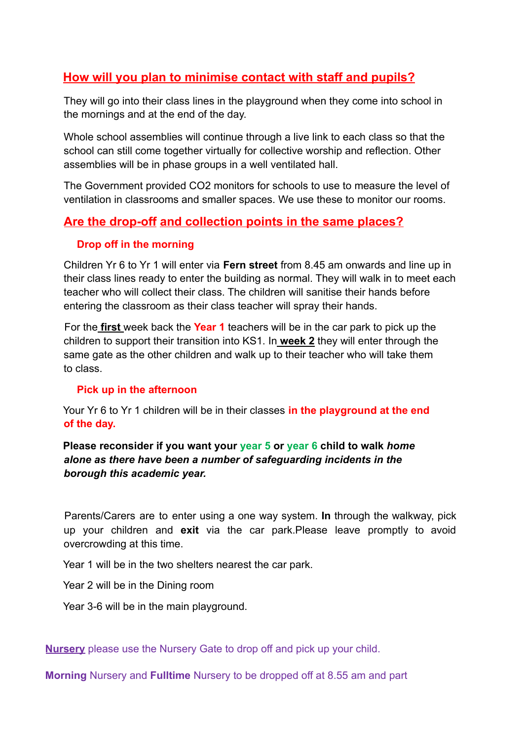# **How will you plan to minimise contact with staff and pupils?**

They will go into their class lines in the playground when they come into school in the mornings and at the end of the day.

Whole school assemblies will continue through a live link to each class so that the school can still come together virtually for collective worship and reflection. Other assemblies will be in phase groups in a well ventilated hall.

The Government provided CO2 monitors for schools to use to measure the level of ventilation in classrooms and smaller spaces. We use these to monitor our rooms.

## **Are the drop-off and collection points in the same places?**

#### **Drop off in the morning**

Children Yr 6 to Yr 1 will enter via **Fern street** from 8.45 am onwards and line up in their class lines ready to enter the building as normal. They will walk in to meet each teacher who will collect their class. The children will sanitise their hands before entering the classroom as their class teacher will spray their hands.

For the **first** week back the **Year 1** teachers will be in the car park to pick up the children to support their transition into KS1. In **week 2** they will enter through the same gate as the other children and walk up to their teacher who will take them to class.

#### **Pick up in the afternoon**

Your Yr 6 to Yr 1 children will be in their classes **in the playground at the end of the day.**

**Please reconsider if you want your year 5 or year 6 child to walk** *home alone as there have been a number of safeguarding incidents in the borough this academic year.*

Parents/Carers are to enter using a one way system. **In** through the walkway, pick up your children and **exit** via the car park.Please leave promptly to avoid overcrowding at this time.

Year 1 will be in the two shelters nearest the car park.

Year 2 will be in the Dining room

Year 3-6 will be in the main playground.

**Nursery** please use the Nursery Gate to drop off and pick up your child.

**Morning** Nursery and **Fulltime** Nursery to be dropped off at 8.55 am and part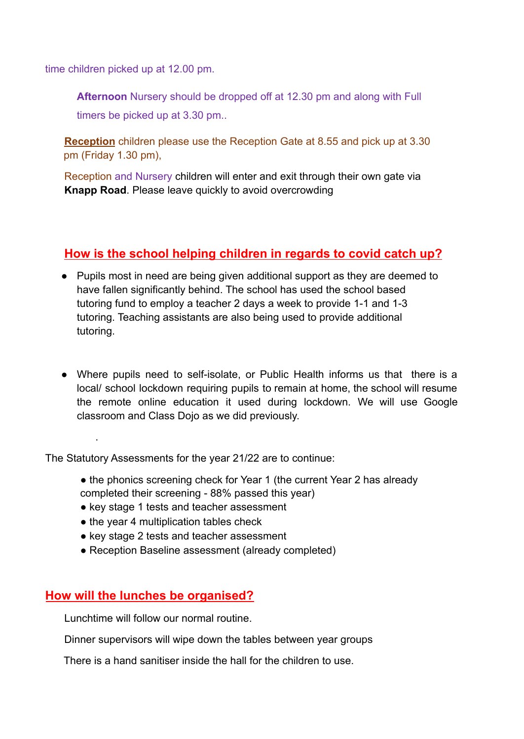time children picked up at 12.00 pm.

**Afternoon** Nursery should be dropped off at 12.30 pm and along with Full timers be picked up at 3.30 pm..

**Reception** children please use the Reception Gate at 8.55 and pick up at 3.30 pm (Friday 1.30 pm),

Reception and Nursery children will enter and exit through their own gate via **Knapp Road**. Please leave quickly to avoid overcrowding

## **How is the school helping children in regards to covid catch up?**

- Pupils most in need are being given additional support as they are deemed to have fallen significantly behind. The school has used the school based tutoring fund to employ a teacher 2 days a week to provide 1-1 and 1-3 tutoring. Teaching assistants are also being used to provide additional tutoring.
- Where pupils need to self-isolate, or Public Health informs us that there is a local/ school lockdown requiring pupils to remain at home, the school will resume the remote online education it used during lockdown. We will use Google classroom and Class Dojo as we did previously.

The Statutory Assessments for the year 21/22 are to continue:

- the phonics screening check for Year 1 (the current Year 2 has already completed their screening - 88% passed this year)
- key stage 1 tests and teacher assessment
- the year 4 multiplication tables check
- key stage 2 tests and teacher assessment
- **●** Reception Baseline assessment (already completed)

## **How will the lunches be organised?**

.

Lunchtime will follow our normal routine.

Dinner supervisors will wipe down the tables between year groups

There is a hand sanitiser inside the hall for the children to use.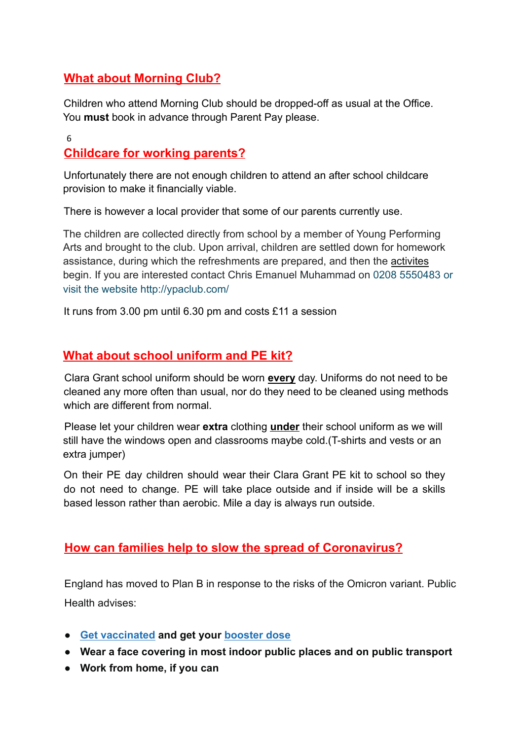# **What about Morning Club?**

Children who attend Morning Club should be dropped-off as usual at the Office. You **must** book in advance through Parent Pay please.

#### 6

# **Childcare for working parents?**

Unfortunately there are not enough children to attend an after school childcare provision to make it financially viable.

There is however a local provider that some of our parents currently use.

The children are collected directly from school by a member of Young Performing Arts and brought to the club. Upon arrival, children are settled down for homework assistance, during which the refreshments are prepared, and then the activites begin. If you are interested contact Chris Emanuel Muhammad on 0208 5550483 or visit the website http://ypaclub.com/

It runs from 3.00 pm until 6.30 pm and costs £11 a session

## **What about school uniform and PE kit?**

Clara Grant school uniform should be worn **every** day. Uniforms do not need to be cleaned any more often than usual, nor do they need to be cleaned using methods which are different from normal.

Please let your children wear **extra** clothing **under** their school uniform as we will still have the windows open and classrooms maybe cold.(T-shirts and vests or an extra jumper)

On their PE day children should wear their Clara Grant PE kit to school so they do not need to change. PE will take place outside and if inside will be a skills based lesson rather than aerobic. Mile a day is always run outside.

## **How can families help to slow the spread of Coronavirus?**

England has moved to Plan B in response to the risks of the Omicron variant. Public Health advises:

- **● Get vaccinated and get your booster dose**
- **● Wear a face covering in most indoor public places and on public transport**
- **● Work from home, if you can**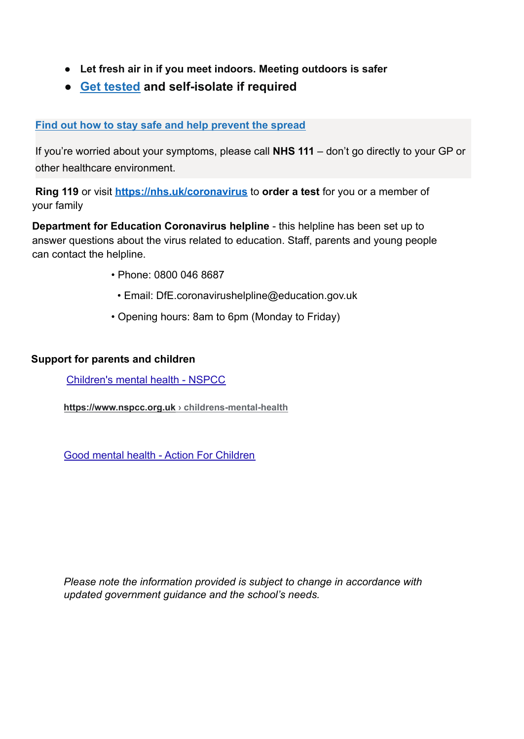- **● Let fresh air in if you meet indoors. Meeting outdoors is safer**
- **● Get tested and self-isolate if required**

#### **Find out how to stay safe and help prevent the spread**

If you're worried about your symptoms, please call **NHS 111** – don't go directly to your GP or other healthcare environment.

**Ring 119** or visit **https://nhs.uk/coronavirus** to **order a test** for you or a member of your family

**Department for Education Coronavirus helpline** - this helpline has been set up to answer questions about the virus related to education. Staff, parents and young people can contact the helpline.

- Phone: 0800 046 8687
	- Email: DfE.coronavirushelpline@education.gov.uk
- Opening hours: 8am to 6pm (Monday to Friday)

#### **Support for parents and children**

Children's mental health - NSPCC

**https://www.nspcc.org.uk › childrens-mental-health**

Good mental health - Action For Children

*Please note the information provided is subject to change in accordance with updated government guidance and the school's needs.*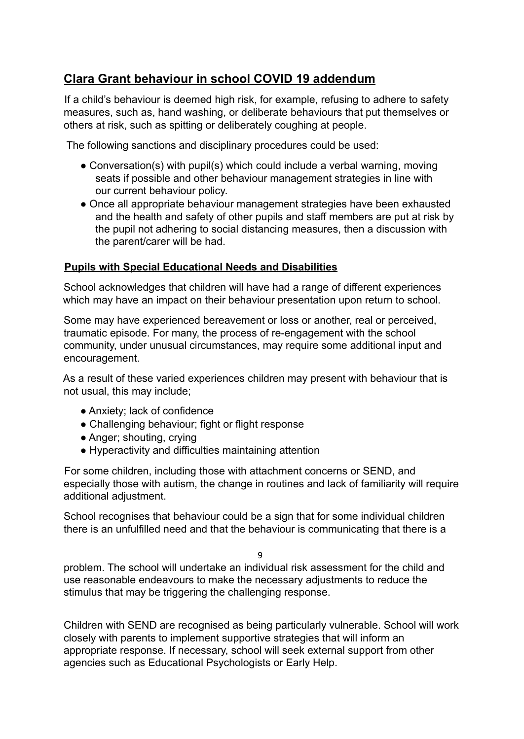# **Clara Grant behaviour in school COVID 19 addendum**

If a child's behaviour is deemed high risk, for example, refusing to adhere to safety measures, such as, hand washing, or deliberate behaviours that put themselves or others at risk, such as spitting or deliberately coughing at people.

The following sanctions and disciplinary procedures could be used:

- Conversation(s) with pupil(s) which could include a verbal warning, moving seats if possible and other behaviour management strategies in line with our current behaviour policy.
- Once all appropriate behaviour management strategies have been exhausted and the health and safety of other pupils and staff members are put at risk by the pupil not adhering to social distancing measures, then a discussion with the parent/carer will be had.

## **Pupils with Special Educational Needs and Disabilities**

School acknowledges that children will have had a range of different experiences which may have an impact on their behaviour presentation upon return to school.

Some may have experienced bereavement or loss or another, real or perceived, traumatic episode. For many, the process of re-engagement with the school community, under unusual circumstances, may require some additional input and encouragement.

As a result of these varied experiences children may present with behaviour that is not usual, this may include;

- Anxiety; lack of confidence
- Challenging behaviour; fight or flight response
- Anger; shouting, crying
- Hyperactivity and difficulties maintaining attention

For some children, including those with attachment concerns or SEND, and especially those with autism, the change in routines and lack of familiarity will require additional adjustment.

School recognises that behaviour could be a sign that for some individual children there is an unfulfilled need and that the behaviour is communicating that there is a

9

problem. The school will undertake an individual risk assessment for the child and use reasonable endeavours to make the necessary adjustments to reduce the stimulus that may be triggering the challenging response.

Children with SEND are recognised as being particularly vulnerable. School will work closely with parents to implement supportive strategies that will inform an appropriate response. If necessary, school will seek external support from other agencies such as Educational Psychologists or Early Help.